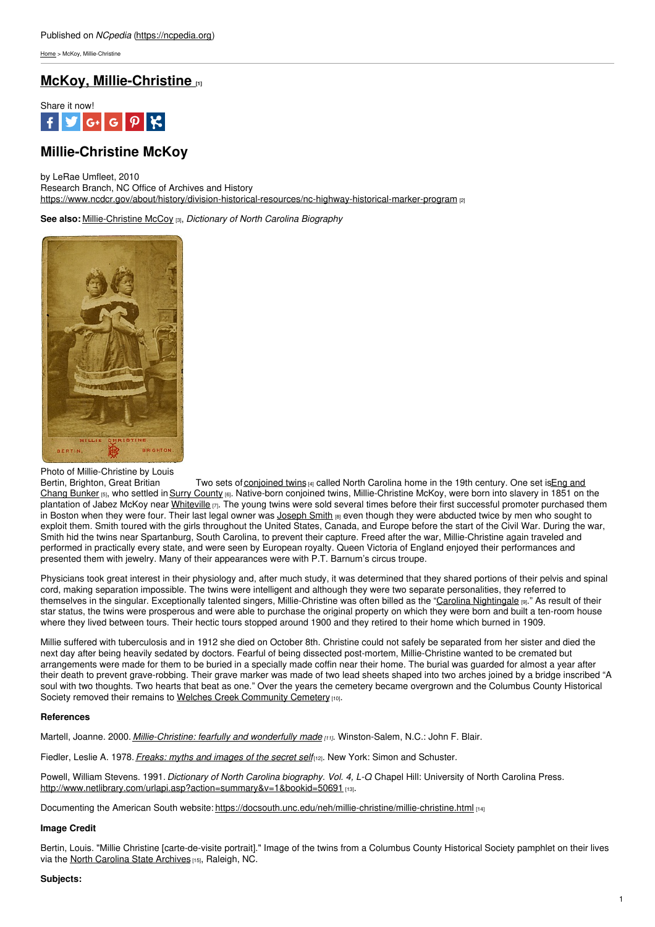[Home](https://ncpedia.org/) > McKoy, Millie-Christine

# **McKoy, [Millie-Christine](https://ncpedia.org/mckoy-millie-christine) [1]**



# **Millie-Christine McKoy**

by LeRae Umfleet, 2010

Research Branch, NC Office of Archives and History <https://www.ncdcr.gov/about/history/division-historical-resources/nc-highway-historical-marker-program> [2]

**See also:** [Millie-Christine](https://ncpedia.org/biography/mccoy-millie-christine) McCoy [3], *Dictionary of North Carolina Biography*



## Photo of Millie-Christine by Louis

Bertin, Brighton, Great Britian Two sets of [conjoined](https://www.nlm.nih.gov/hmd/conjoined/gallery.html) twins [4] called North Carolina home in the 19th century. One set is Eng and Chang Bunker [5], who settled in Surry [County](https://ncpedia.org/geography/surry) [6]. Native-born conjoined twins, [Millie-Christine](https://ncpedia.org/biography/bunker-eng-and-chang) McKoy, were born into slavery in 1851 on the plantation of Jabez McKoy near [Whiteville](http://maps.google.com/maps?q=whiteville,+nc&oe=utf-8&client=firefox-a&ie=UTF8&hq=&hnear=Whiteville,+Columbus,+North+Carolina&gl=us&ei=40JkTODnA8H78AaBosyvCg&ved=0CCAQ8gEwAA&ll=34.3389,-78.700562&spn=1.544391,3.394775&z=9) [7]. The young twins were sold several times before their first successful promoter purchased them in Boston when they were four. Their last legal owner was  $Joseph S$  $Joseph S$  Smith  $_{[8]}$  even though they were abducted twice by men who sought to exploit them. Smith toured with the girls throughout the United States, Canada, and Europe before the start of the Civil War. During the war, Smith hid the twins near Spartanburg, South Carolina, to prevent their capture. Freed after the war, Millie-Christine again traveled and performed in practically every state, and were seen by European royalty. Queen Victoria of England enjoyed their performances and presented them with jewelry. Many of their appearances were with P.T. Barnum's circus troupe.

Physicians took great interest in their physiology and, after much study, it was determined that they shared portions of their pelvis and spinal cord, making separation impossible. The twins were intelligent and although they were two separate personalities, they referred to themselves in the singular. Exceptionally talented singers, Millie-Christine was often billed as the "Carolina [Nightingale](https://docsouth.unc.edu/neh/carolinatwin/milli23.jpg) [9]." As result of their star status, the twins were prosperous and were able to purchase the original property on which they were born and built a ten-room house where they lived between tours. Their hectic tours stopped around 1900 and they retired to their home which burned in 1909.

Millie suffered with tuberculosis and in 1912 she died on October 8th. Christine could not safely be separated from her sister and died the next day after being heavily sedated by doctors. Fearful of being dissected post-mortem, Millie-Christine wanted to be cremated but arrangements were made for them to be buried in a specially made coffin near their home. The burial was guarded for almost a year after their death to prevent grave-robbing. Their grave marker was made of two lead sheets shaped into two arches joined by a bridge inscribed "A soul with two thoughts. Two hearts that beat as one." Over the years the cemetery became overgrown and the Columbus County Historical Society removed their remains to Welches Creek [Community](https://www.findagrave.com/memorial/11427328/christine-mckoy) Cemetery [10].

# **References**

Martell, Joanne. 2000. *[Millie-Christine:](https://www.worldcat.org/title/millie-christine-fearfully-and-wonderfully-made/oclc/42719940) fearfully and wonderfully made [11]*. Winston-Salem, N.C.: John F. Blair.

Fiedler, Leslie A. 1978. *[Freaks:](https://www.worldcat.org/title/freaks-myths-and-images-of-the-secret-self/oclc/3274146) myths and images of the secret self*[12]. New York: Simon and Schuster.

Powell, William Stevens. 1991. *Dictionary of North Carolina biography. Vol. 4, L-O*. Chapel Hill: University of North Carolina Press. [http://www.netlibrary.com/urlapi.asp?action=summary&v=1&bookid=50691](https://www.nclive.org/about) [13].

Documenting the American South website: <https://docsouth.unc.edu/neh/millie-christine/millie-christine.html> [14]

## **Image Credit**

Bertin, Louis. "Millie Christine [carte-de-visite portrait]." Image of the twins from a Columbus County Historical Society pamphlet on their lives via the North [Carolina](https://archives.ncdcr.gov) State Archives [15], Raleigh, NC.

## **Subjects:**